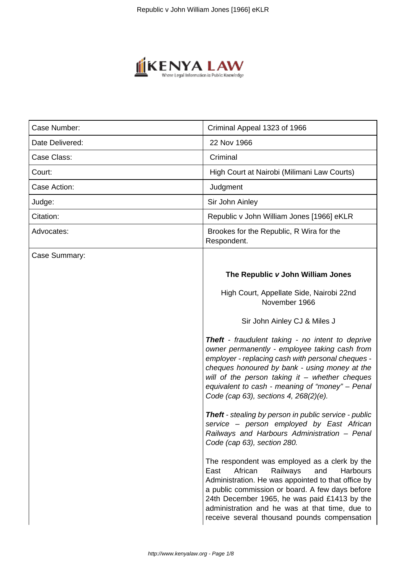

| Case Number:    | Criminal Appeal 1323 of 1966                                                                                                                                                                                                                                                                                                                               |
|-----------------|------------------------------------------------------------------------------------------------------------------------------------------------------------------------------------------------------------------------------------------------------------------------------------------------------------------------------------------------------------|
| Date Delivered: | 22 Nov 1966                                                                                                                                                                                                                                                                                                                                                |
| Case Class:     | Criminal                                                                                                                                                                                                                                                                                                                                                   |
| Court:          | High Court at Nairobi (Milimani Law Courts)                                                                                                                                                                                                                                                                                                                |
| Case Action:    | Judgment                                                                                                                                                                                                                                                                                                                                                   |
| Judge:          | Sir John Ainley                                                                                                                                                                                                                                                                                                                                            |
| Citation:       | Republic v John William Jones [1966] eKLR                                                                                                                                                                                                                                                                                                                  |
| Advocates:      | Brookes for the Republic, R Wira for the<br>Respondent.                                                                                                                                                                                                                                                                                                    |
| Case Summary:   |                                                                                                                                                                                                                                                                                                                                                            |
|                 | The Republic v John William Jones                                                                                                                                                                                                                                                                                                                          |
|                 | High Court, Appellate Side, Nairobi 22nd<br>November 1966                                                                                                                                                                                                                                                                                                  |
|                 | Sir John Ainley CJ & Miles J                                                                                                                                                                                                                                                                                                                               |
|                 | Theft - fraudulent taking - no intent to deprive<br>owner permanently - employee taking cash from<br>employer - replacing cash with personal cheques -<br>cheques honoured by bank - using money at the<br>will of the person taking it $-$ whether cheques<br>equivalent to cash - meaning of "money" - Penal<br>Code (cap 63), sections 4, 268(2)(e).    |
|                 | Theft - stealing by person in public service - public<br>service – person employed by East African<br>Railways and Harbours Administration - Penal<br>Code (cap 63), section 280.                                                                                                                                                                          |
|                 | The respondent was employed as a clerk by the<br>Railways<br>African<br>and<br>Harbours<br>East<br>Administration. He was appointed to that office by<br>a public commission or board. A few days before<br>24th December 1965, he was paid £1413 by the<br>administration and he was at that time, due to<br>receive several thousand pounds compensation |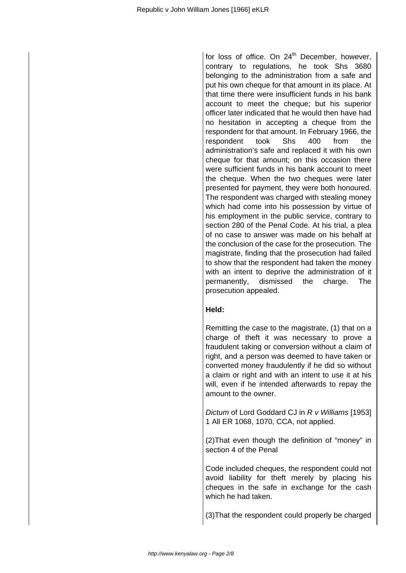for loss of office. On 24<sup>th</sup> December, however, contrary to regulations, he took Shs 3680 belonging to the administration from a safe and put his own cheque for that amount in its place. At that time there were insufficient funds in his bank account to meet the cheque; but his superior officer later indicated that he would then have had no hesitation in accepting a cheque from the respondent for that amount. In February 1966, the respondent took Shs 400 from the administration's safe and replaced it with his own cheque for that amount; on this occasion there were sufficient funds in his bank account to meet the cheque. When the two cheques were later presented for payment, they were both honoured. The respondent was charged with stealing money which had come into his possession by virtue of his employment in the public service, contrary to section 280 of the Penal Code. At his trial, a plea of no case to answer was made on his behalf at the conclusion of the case for the prosecution. The magistrate, finding that the prosecution had failed to show that the respondent had taken the money with an intent to deprive the administration of it permanently, dismissed the charge. The prosecution appealed.

# **Held:**

Remitting the case to the magistrate, (1) that on a charge of theft it was necessary to prove a fraudulent taking or conversion without a claim of right, and a person was deemed to have taken or converted money fraudulently if he did so without a claim or right and with an intent to use it at his will, even if he intended afterwards to repay the amount to the owner.

Dictum of Lord Goddard CJ in R v Williams [1953] 1 All ER 1068, 1070, CCA, not applied.

(2)That even though the definition of "money" in section 4 of the Penal

Code included cheques, the respondent could not avoid liability for theft merely by placing his cheques in the safe in exchange for the cash which he had taken.

(3)That the respondent could properly be charged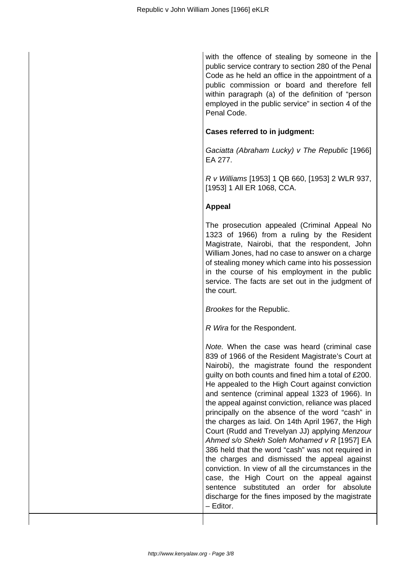with the offence of stealing by someone in the public service contrary to section 280 of the Penal Code as he held an office in the appointment of a public commission or board and therefore fell within paragraph (a) of the definition of "person employed in the public service" in section 4 of the Penal Code.

# **Cases referred to in judgment:**

Gaciatta (Abraham Lucky) v The Republic [1966] EA 277.

R v Williams [1953] 1 QB 660, [1953] 2 WLR 937, [1953] 1 All ER 1068, CCA.

# **Appeal**

The prosecution appealed (Criminal Appeal No 1323 of 1966) from a ruling by the Resident Magistrate, Nairobi, that the respondent, John William Jones, had no case to answer on a charge of stealing money which came into his possession in the course of his employment in the public service. The facts are set out in the judgment of the court.

Brookes for the Republic.

R Wira for the Respondent.

Note. When the case was heard (criminal case 839 of 1966 of the Resident Magistrate's Court at Nairobi), the magistrate found the respondent guilty on both counts and fined him a total of £200. He appealed to the High Court against conviction and sentence (criminal appeal 1323 of 1966). In the appeal against conviction, reliance was placed principally on the absence of the word "cash" in the charges as laid. On 14th April 1967, the High Court (Rudd and Trevelyan JJ) applying Menzour Ahmed s/o Shekh Soleh Mohamed v R [1957] EA 386 held that the word "cash" was not required in the charges and dismissed the appeal against conviction. In view of all the circumstances in the case, the High Court on the appeal against sentence substituted an order for absolute discharge for the fines imposed by the magistrate – Editor.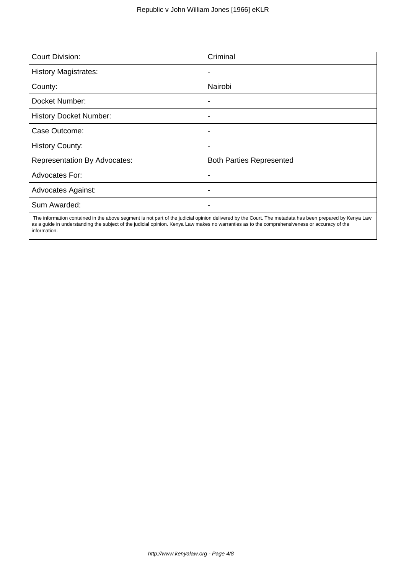| <b>Court Division:</b>              | Criminal                        |
|-------------------------------------|---------------------------------|
| <b>History Magistrates:</b>         | $\overline{\phantom{a}}$        |
| County:                             | Nairobi                         |
| Docket Number:                      |                                 |
| <b>History Docket Number:</b>       | ٠                               |
| Case Outcome:                       | ٠                               |
| <b>History County:</b>              | $\overline{\phantom{a}}$        |
| <b>Representation By Advocates:</b> | <b>Both Parties Represented</b> |
| Advocates For:                      |                                 |
| <b>Advocates Against:</b>           | ٠                               |
| Sum Awarded:                        | -                               |

 The information contained in the above segment is not part of the judicial opinion delivered by the Court. The metadata has been prepared by Kenya Law as a guide in understanding the subject of the judicial opinion. Kenya Law makes no warranties as to the comprehensiveness or accuracy of the information.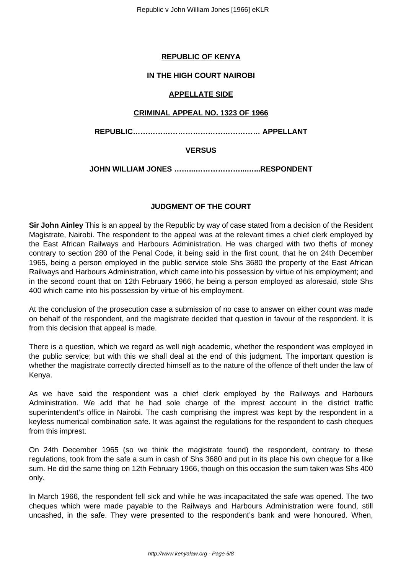# **REPUBLIC OF KENYA**

### **IN THE HIGH COURT NAIROBI**

#### **APPELLATE SIDE**

#### **CRIMINAL APPEAL NO. 1323 OF 1966**

**REPUBLIC…………………………………………… APPELLANT**

### **VERSUS**

**JOHN WILLIAM JONES ……...………………...…...RESPONDENT**

# **JUDGMENT OF THE COURT**

**Sir John Ainley** This is an appeal by the Republic by way of case stated from a decision of the Resident Magistrate, Nairobi. The respondent to the appeal was at the relevant times a chief clerk employed by the East African Railways and Harbours Administration. He was charged with two thefts of money contrary to section 280 of the Penal Code, it being said in the first count, that he on 24th December 1965, being a person employed in the public service stole Shs 3680 the property of the East African Railways and Harbours Administration, which came into his possession by virtue of his employment; and in the second count that on 12th February 1966, he being a person employed as aforesaid, stole Shs 400 which came into his possession by virtue of his employment.

At the conclusion of the prosecution case a submission of no case to answer on either count was made on behalf of the respondent, and the magistrate decided that question in favour of the respondent. It is from this decision that appeal is made.

There is a question, which we regard as well nigh academic, whether the respondent was employed in the public service; but with this we shall deal at the end of this judgment. The important question is whether the magistrate correctly directed himself as to the nature of the offence of theft under the law of Kenya.

As we have said the respondent was a chief clerk employed by the Railways and Harbours Administration. We add that he had sole charge of the imprest account in the district traffic superintendent's office in Nairobi. The cash comprising the imprest was kept by the respondent in a keyless numerical combination safe. It was against the regulations for the respondent to cash cheques from this imprest.

On 24th December 1965 (so we think the magistrate found) the respondent, contrary to these regulations, took from the safe a sum in cash of Shs 3680 and put in its place his own cheque for a like sum. He did the same thing on 12th February 1966, though on this occasion the sum taken was Shs 400 only.

In March 1966, the respondent fell sick and while he was incapacitated the safe was opened. The two cheques which were made payable to the Railways and Harbours Administration were found, still uncashed, in the safe. They were presented to the respondent's bank and were honoured. When,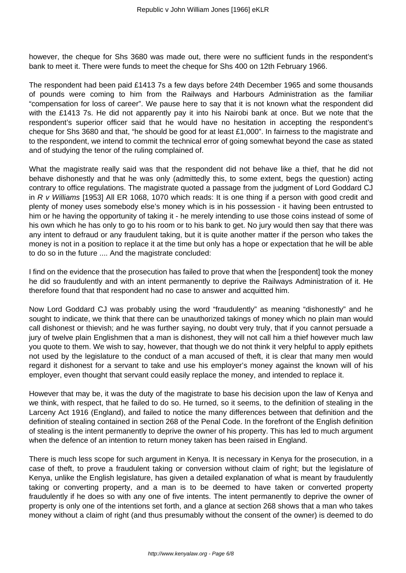however, the cheque for Shs 3680 was made out, there were no sufficient funds in the respondent's bank to meet it. There were funds to meet the cheque for Shs 400 on 12th February 1966.

The respondent had been paid £1413 7s a few days before 24th December 1965 and some thousands of pounds were coming to him from the Railways and Harbours Administration as the familiar "compensation for loss of career". We pause here to say that it is not known what the respondent did with the £1413 7s. He did not apparently pay it into his Nairobi bank at once. But we note that the respondent's superior officer said that he would have no hesitation in accepting the respondent's cheque for Shs 3680 and that, "he should be good for at least £1,000". In fairness to the magistrate and to the respondent, we intend to commit the technical error of going somewhat beyond the case as stated and of studying the tenor of the ruling complained of.

What the magistrate really said was that the respondent did not behave like a thief, that he did not behave dishonestly and that he was only (admittedly this, to some extent, begs the question) acting contrary to office regulations. The magistrate quoted a passage from the judgment of Lord Goddard CJ in R v Williams [1953] All ER 1068, 1070 which reads: It is one thing if a person with good credit and plenty of money uses somebody else's money which is in his possession - it having been entrusted to him or he having the opportunity of taking it - he merely intending to use those coins instead of some of his own which he has only to go to his room or to his bank to get. No jury would then say that there was any intent to defraud or any fraudulent taking, but it is quite another matter if the person who takes the money is not in a position to replace it at the time but only has a hope or expectation that he will be able to do so in the future .... And the magistrate concluded:

I find on the evidence that the prosecution has failed to prove that when the [respondent] took the money he did so fraudulently and with an intent permanently to deprive the Railways Administration of it. He therefore found that that respondent had no case to answer and acquitted him.

Now Lord Goddard CJ was probably using the word "fraudulently" as meaning "dishonestly" and he sought to indicate, we think that there can be unauthorized takings of money which no plain man would call dishonest or thievish; and he was further saying, no doubt very truly, that if you cannot persuade a jury of twelve plain Englishmen that a man is dishonest, they will not call him a thief however much law you quote to them. We wish to say, however, that though we do not think it very helpful to apply epithets not used by the legislature to the conduct of a man accused of theft, it is clear that many men would regard it dishonest for a servant to take and use his employer's money against the known will of his employer, even thought that servant could easily replace the money, and intended to replace it.

However that may be, it was the duty of the magistrate to base his decision upon the law of Kenya and we think, with respect, that he failed to do so. He turned, so it seems, to the definition of stealing in the Larceny Act 1916 (England), and failed to notice the many differences between that definition and the definition of stealing contained in section 268 of the Penal Code. In the forefront of the English definition of stealing is the intent permanently to deprive the owner of his property. This has led to much argument when the defence of an intention to return money taken has been raised in England.

There is much less scope for such argument in Kenya. It is necessary in Kenya for the prosecution, in a case of theft, to prove a fraudulent taking or conversion without claim of right; but the legislature of Kenya, unlike the English legislature, has given a detailed explanation of what is meant by fraudulently taking or converting property, and a man is to be deemed to have taken or converted property fraudulently if he does so with any one of five intents. The intent permanently to deprive the owner of property is only one of the intentions set forth, and a glance at section 268 shows that a man who takes money without a claim of right (and thus presumably without the consent of the owner) is deemed to do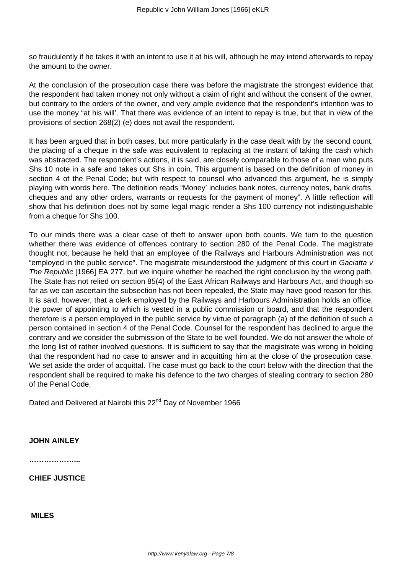so fraudulently if he takes it with an intent to use it at his will, although he may intend afterwards to repay the amount to the owner.

At the conclusion of the prosecution case there was before the magistrate the strongest evidence that the respondent had taken money not only without a claim of right and without the consent of the owner, but contrary to the orders of the owner, and very ample evidence that the respondent's intention was to use the money "at his will'. That there was evidence of an intent to repay is true, but that in view of the provisions of section 268(2) (e) does not avail the respondent.

It has been argued that in both cases, but more particularly in the case dealt with by the second count, the placing of a cheque in the safe was equivalent to replacing at the instant of taking the cash which was abstracted. The respondent's actions, it is said, are closely comparable to those of a man who puts Shs 10 note in a safe and takes out Shs in coin. This argument is based on the definition of money in section 4 of the Penal Code; but with respect to counsel who advanced this argument, he is simply playing with words here. The definition reads "Money' includes bank notes, currency notes, bank drafts, cheques and any other orders, warrants or requests for the payment of money". A little reflection will show that his definition does not by some legal magic render a Shs 100 currency not indistinguishable from a cheque for Shs 100.

To our minds there was a clear case of theft to answer upon both counts. We turn to the question whether there was evidence of offences contrary to section 280 of the Penal Code. The magistrate thought not, because he held that an employee of the Railways and Harbours Administration was not "employed in the public service". The magistrate misunderstood the judgment of this court in Gaciatta v The Republic [1966] EA 277, but we inquire whether he reached the right conclusion by the wrong path. The State has not relied on section 85(4) of the East African Railways and Harbours Act, and though so far as we can ascertain the subsection has not been repealed, the State may have good reason for this. It is said, however, that a clerk employed by the Railways and Harbours Administration holds an office, the power of appointing to which is vested in a public commission or board, and that the respondent therefore is a person employed in the public service by virtue of paragraph (a) of the definition of such a person contained in section 4 of the Penal Code. Counsel for the respondent has declined to argue the contrary and we consider the submission of the State to be well founded. We do not answer the whole of the long list of rather involved questions. It is sufficient to say that the magistrate was wrong in holding that the respondent had no case to answer and in acquitting him at the close of the prosecution case. We set aside the order of acquittal. The case must go back to the court below with the direction that the respondent shall be required to make his defence to the two charges of stealing contrary to section 280 of the Penal Code.

Dated and Delivered at Nairobi this 22<sup>nd</sup> Day of November 1966

**JOHN AINLEY** 

**………………...**

**CHIEF JUSTICE** 

**MILES**